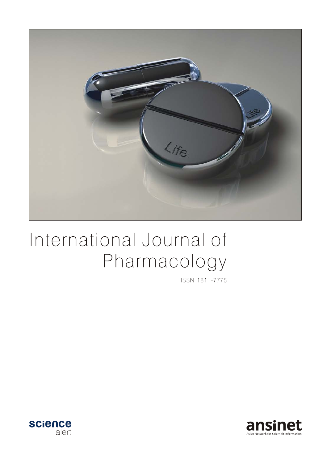

# International Journal of Pharmacology

ISSN 1811-7775



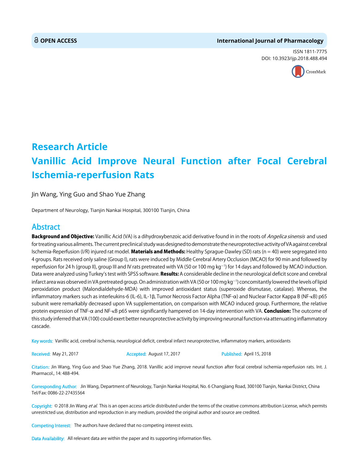#### **OPEN ACCESS International Journal of Pharmacology**

ISSN 1811-7775 DOI: 10.3923/ijp.2018.488.494



## **Research Article Vanillic Acid Improve Neural Function after Focal Cerebral Ischemia-reperfusion Rats**

Jin Wang, Ying Guo and Shao Yue Zhang

Department of Neurology, Tianjin Nankai Hospital, 300100 Tianjin, China

### Abstract

Background and Objective: Vanillic Acid (VA) is a dihydroxybenzoic acid derivative found in in the roots of *Angelica sinensis* and used for treating various ailments. The current preclinical study was designed to demonstrate the neuroprotective activity of VA against cerebral Ischemia-Reperfusion (I/R) injured rat model. Materials and Methods: Healthy Sprague-Dawley (SD) rats ( $n = 40$ ) were segregated into 4 groups. Rats received only saline (Group I), rats were induced by Middle Cerebral Artery Occlusion (MCAO) for 90 min and followed by reperfusion for 24 h (group II), group III and IV rats pretreated with VA (50 or 100 mg kg $^{-1}$ ) for 14 days and followed by MCAO induction. Data were analyzed using Turkey's test with SPSS software. Results: A considerable decline in the neurological deficit score and cerebral infarct area was observed in VA pretreated group. On administration with VA (50 or 100 mg kg<sup>-1</sup>) concomitantly lowered the levels of lipid peroxidation product (Malondialdehyde-MDA) with improved antioxidant status (superoxide dismutase, catalase). Whereas, the inflammatory markers such as interleukins-6 (IL-6), IL-1β, Tumor Necrosis Factor Alpha (TNF-α) and Nuclear Factor Kappa B (NF-κB) p65 subunit were remarkably decreased upon VA supplementation, on comparison with MCAO induced group. Furthermore, the relative protein expression of TNF- $\alpha$  and NF- $\kappa$ B p65 were significantly hampered on 14-day intervention with VA. **Conclusion:** The outcome of this study inferred that VA (100) could exert better neuroprotective activity by improving neuronal function via attenuating inflammatory cascade.

Key words: Vanillic acid, cerebral ischemia, neurological deficit, cerebral infarct neuroprotective, inflammatory markers, antioxidants

Received: May 21, 2017 **Accepted: August 17, 2017** Published: April 15, 2018

Citation: Jin Wang, Ying Guo and Shao Yue Zhang, 2018. Vanillic acid improve neural function after focal cerebral ischemia-reperfusion rats. Int. J. Pharmacol., 14: 488-494.

Corresponding Author: Jin Wang, Department of Neurology, Tianjin Nankai Hospital, No. 6 Changjiang Road, 300100 Tianjin, Nankai District, China Tel/Fax: 0086-22-27435564

Copyright: © 2018 Jin Wang et al. This is an open access article distributed under the terms of the creative commons attribution License, which permits unrestricted use, distribution and reproduction in any medium, provided the original author and source are credited.

Competing Interest: The authors have declared that no competing interest exists.

Data Availability: All relevant data are within the paper and its supporting information files.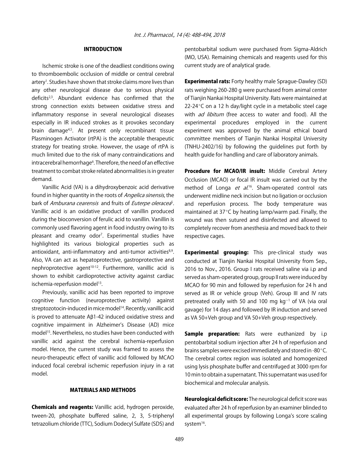#### INTRODUCTION

Ischemic stroke is one of the deadliest conditions owing to thromboembolic occlusion of middle or central cerebral artery<sup>1</sup>. Studies have shown that stroke claims more lives than any other neurological disease due to serious physical deficits<sup>2,3</sup>. Abundant evidence has confirmed that the strong connection exists between oxidative stress and inflammatory response in several neurological diseases especially in IR induced strokes as it provokes secondary brain damage<sup>4,5</sup>. At present only recombinant tissue Plasminogen Activator (rtPA) is the acceptable therapeutic strategy for treating stroke. However, the usage of rtPA is much limited due to the risk of many contraindications and intracerebral hemorrhage<sup>6</sup>. Therefore, the need of an effective treatment to combat stroke related abnormalities is in greater demand.

Vanillic Acid (VA) is a dihydroxybenzoic acid derivative found in higher quantity in the roots of *Angelica sinensis*, the bark of Amburana cearensis and fruits of Euterpe oleracea<sup>s</sup>. Vanillic acid is an oxidative product of vanillin produced during the bioconversion of ferulic acid to vanillin. Vanillin is commonly used flavoring agent in food industry owing to its pleasant and creamy odor<sup>7</sup>. Experimental studies have highlighted its various biological properties such as antioxidant, anti-inflammatory and anti-tumor activities<sup>8,9</sup>. Also, VA can act as hepatoprotective, gastroprotective and nephroprotective agent<sup>10-12</sup>. Furthermore, vanillic acid is shown to exhibit cardioprotective activity against cardiac ischemia-reperfusion model<sup>13</sup>.

Previously, vanillic acid has been reported to improve cognitive function (neuroprotective activity) against streptozotocin-induced in mice model<sup>14</sup>. Recently, vanillic acid is proved to attenuate  $AB1-42$  induced oxidative stress and cognitive impairment in Alzheimer's Disease (AD) mice model<sup>15</sup>. Nevertheless, no studies have been conducted with vanillic acid against the cerebral ischemia-reperfusion model. Hence, the current study was framed to assess the neuro-therapeutic effect of vanillic acid followed by MCAO induced focal cerebral ischemic reperfusion injury in a rat model.

#### MATERIALS AND METHODS

Chemicals and reagents: Vanillic acid, hydrogen peroxide, tween-20, phosphate buffered saline, 2, 3, 5-triphenyl tetrazolium chloride (TTC), Sodium Dodecyl Sulfate (SDS) and pentobarbital sodium were purchased from Sigma-Aldrich (MO, USA). Remaining chemicals and reagents used for this current study are of analytical grade.

**Experimental rats:** Forty healthy male Sprague-Dawley (SD) rats weighing 260-280 g were purchased from animal center of Tianjin Nankai Hospital University. Rats were maintained at  $22-24$ °C on a 12 h day/light cycle in a metabolic steel cage with *ad libitum* (free access to water and food). All the experimental procedures employed in the current experiment was approved by the animal ethical board committee members of Tianjin Nankai Hospital University (TNHU-2402/16) by following the guidelines put forth by health guide for handling and care of laboratory animals.

Procedure for MCAO/IR insult: Middle Cerebral Artery Occlusion (MCAO) or focal IR insult was carried out by the method of Longa *et al.*<sup>16</sup>. Sham-operated control rats underwent midline neck incision but no ligation or occlusion and reperfusion process. The body temperature was maintained at  $37^{\circ}$ C by heating lamp/warm pad. Finally, the wound was then sutured and disinfected and allowed to completely recover from anesthesia and moved back to their respective cages.

**Experimental grouping:** This pre-clinical study was conducted at Tianjin Nankai Hospital University from Sep., 2016 to Nov., 2016. Group I rats received saline via i.p and served as sham-operated group, group II rats were induced by MCAO for 90 min and followed by reperfusion for 24 h and served as IR or vehicle group (Veh). Group III and IV rats pretreated orally with 50 and 100 mg  $kg<sup>-1</sup>$  of VA (via oral gavage) for 14 days and followed by IR induction and served as VA 50+Veh group and VA 50+Veh group respectively.

**Sample preparation:** Rats were euthanized by i.p pentobarbital sodium injection after 24 h of reperfusion and brains samples were excised immediately and stored in -80°C. The cerebral cortex region was isolated and homogenized using lysis phosphate buffer and centrifuged at 3000 rpm for 10 min to obtain a supernatant. This supernatant was used for biochemical and molecular analysis.

Neurological deficit score: The neurological deficit score was evaluated after 24 h of reperfusion by an examiner blinded to all experimental groups by following Longa's score scaling system<sup>16</sup>.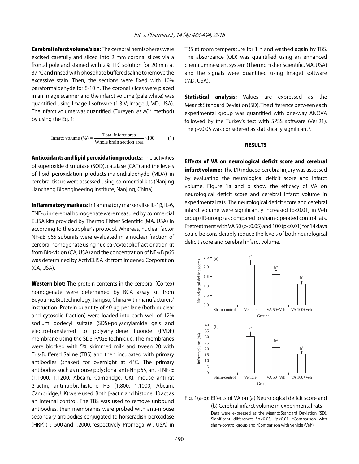Cerebral infarct volume/size: The cerebral hemispheres were excised carefully and sliced into 2 mm coronal slices via a frontal pole and stained with 2% TTC solution for 20 min at  $37^{\circ}$ C and rinsed with phosphate buffered saline to remove the excessive stain. Then, the sections were fixed with 10% paraformaldehyde for 8-10 h. The coronal slices were placed in an Image scanner and the infarct volume (pale white) was quantified using Image J software (1.3 V; Image J, MD, USA). The infarct volume was quantified (Tureyen *et al.*<sup>17</sup> method) by using the Eq. 1:

Infarct volume (
$$
\%
$$
) = Total infarct area  
Whole brain section area ×100 (1)

Antioxidants and lipid peroxidation products: The activities of superoxide dismutase (SOD), catalase (CAT) and the levels of lipid peroxidation products-malondialdehyde (MDA) in cerebral tissue were assessed using commercial kits (Nanjing Jiancheng Bioengineering Institute, Nanjing, China).

Inflammatory markers: Inflammatory markers like IL-1B, IL-6, TNF- $\alpha$  in cerebral homogenate were measured by commercial ELISA kits provided by Thermo Fisher Scientific (MA, USA) in according to the supplier's protocol. Whereas, nuclear factor NF-κB p65 subunits were evaluated in a nuclear fraction of cerebral homogenate using nuclear/cytosolic fractionation kit from Bio-vision (CA, USA) and the concentration of NF-κB p65 was determined by ActivELISA kit from Imgenex Corporation (CA, USA).

Western blot: The protein contents in the cerebral (Cortex) homogenate were determined by BCA assay kit from Beyotime, Biotechnology, Jiangsu, China with manufacturers' instruction. Protein quantity of 40 µg per lane (both nuclear and cytosolic fraction) were loaded into each well of 12% sodium dodecyl sulfate (SDS)-polyacrylamide gels and electro-transferred to polyvinylidene fluoride (PVDF) membrane using the SDS-PAGE technique. The membranes were blocked with 5% skimmed milk and tween 20 with Tris-Buffered Saline (TBS) and then incubated with primary antibodies (shaker) for overnight at  $4^{\circ}$ C. The primary antibodies such as mouse polyclonal anti-NF p65, anti-TNF- $\alpha$ (1:1000, 1:1200; Abcam, Cambridge, UK), mouse anti-rat \$-actin, anti-rabbit-histone H3 (1:800, 1:1000; Abcam, Cambridge, UK) were used. Both  $\beta$ -actin and histone H3 act as an internal control. The TBS was used to remove unbound antibodies, then membranes were probed with anti-mouse secondary antibodies conjugated to horseradish peroxidase (HRP) (1:1500 and 1:2000, respectively; Promega, WI, USA) in

TBS at room temperature for 1 h and washed again by TBS. The absorbance (OD) was quantified using an enhanced chemiluminescent system (Thermo Fisher Scientific, MA, USA) and the signals were quantified using ImageJ software (MD, USA).

Statistical analysis: Values are expressed as the Mean±Standard Deviation (SD). The difference between each experimental group was quantified with one-way ANOVA followed by the Turkey's test with SPSS software (Ver:21). The p<0.05 was considered as statistically significant<sup>5</sup>.

#### RESULTS

Effects of VA on neurological deficit score and cerebral **infarct volume:** The I/R induced cerebral injury was assessed by evaluating the neurological deficit score and infarct volume. Figure 1a and b show the efficacy of VA on neurological deficit score and cerebral infarct volume in experimental rats. The neurological deficit score and cerebral infarct volume were significantly increased (p<0.01) in Veh group (IR-group) as compared to sham-operated control rats. Pretreatment with VA 50 (p<0.05) and 100 (p<0.01) for 14 days could be considerably reduce the levels of both neurological deficit score and cerebral infarct volume.



Fig. 1(a-b): Effects of VA on (a) Neurological deficit score and (b) Cerebral infarct volume in experimental rats Data were expressed as the Mean±Standard Deviation (SD). Significant difference: \*p<0.05, # p<0.01, a Comparison with sham-control group and <sup>b</sup>Comparison with vehicle (Veh)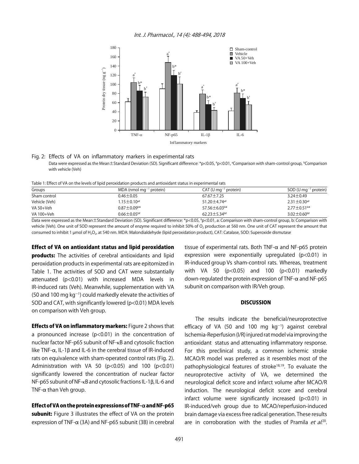Int. J. Pharmacol., 14 (4): 488-494, 2018



#### Fig. 2: Effects of VA on inflammatory markers in experimental rats

Data were expressed as the Mean±Standard Deviation (SD). Significant difference: \*p<0.05, \*p<0.01, \*Comparison with sham-control group, \*Comparison with vehicle (Veh)

Table 1: Effect of VA on the levels of lipid peroxidation products and antioxidant status in experimental rats

| Groups        | $MDA$ (nmol mg <sup>-1</sup> protein) | $CAT (U mg-1 protein)$   | SOD (U mg $^{-1}$ protein)    |
|---------------|---------------------------------------|--------------------------|-------------------------------|
| Sham control  | $0.46 \pm 0.05$                       | $67.67 \pm 7.25$         | $3.24 \pm 0.49$               |
| Vehicle (Veh) | $1.15 \pm 0.10$ <sup>a#</sup>         | 51.20±4.74 <sup>a#</sup> | $2.31 \pm 0.30$ <sup>a#</sup> |
| VA 50+Veh     | $0.87 \pm 0.09$ <sup>b*</sup>         | 57.56±6.03b*             | $2.77 \pm 0.51$ <sup>b*</sup> |
| VA 100+Veh    | $0.66 \pm 0.05$ b#                    | $62.23 \pm 5.34$ b#      | $3.02 \pm 0.60$ <sup>b#</sup> |

Data were expressed as the Mean±Standard Deviation (SD). Significant difference: \*p<0.05, \*p<0.01, a: Comparison with sham-control group, b: Comparison with vehicle (Veh). One unit of SOD represent the amount of enzyme required to inhibit 50% of  $O<sub>2</sub>$  production at 560 nm. One unit of CAT represent the amount that consumed to inhibit 1 µmol of H<sub>2</sub>O<sub>2</sub>, at 540 nm. MDA: Malondialdehyde (lipid peroxidation product), CAT: Catalase, SOD: Superoxide dismutase

#### Effect of VA on antioxidant status and lipid peroxidation

**products:** The activities of cerebral antioxidants and lipid peroxidation products in experimental rats are epitomized in Table 1. The activities of SOD and CAT were substantially attenuated (p<0.01) with increased MDA levels in IR-induced rats (Veh). Meanwhile, supplementation with VA (50 and 100 mg  $kg^{-1}$ ) could markedly elevate the activities of SOD and CAT, with significantly lowered (p<0.01) MDA levels on comparison with Veh group.

**Effects of VA on inflammatory markers:** Figure 2 shows that a pronounced increase ( $p$ <0.01) in the concentration of nuclear factor NF-p65 subunit of NF-κB and cytosolic fraction like TNF- $\alpha$ , IL-1 $\beta$  and IL-6 in the cerebral tissue of IR-induced rats on equivalence with sham-operated control rats (Fig. 2). Administration with VA 50  $(p<0.05)$  and 100  $(p<0.01)$ significantly lowered the concentration of nuclear factor NF-p65 subunit of NF-κB and cytosolic fractions IL-1\$, IL-6 and TNF- $\alpha$  than Veh group.

#### Effect of VA on the protein expressions of TNF- $\alpha$  and NF-p65

subunit: Figure 3 illustrates the effect of VA on the protein expression of TNF- $\alpha$  (3A) and NF-p65 subunit (3B) in cerebral tissue of experimental rats. Both TNF- $\alpha$  and NF-p65 protein expression were exponentially upregulated (p<0.01) in IR-induced group Vs sham-control rats. Whereas, treatment with VA 50 (p<0.05) and 100 (p<0.01) markedly down-regulated the protein expression of TNF- $\alpha$  and NF-p65 subunit on comparison with IR/Veh group.

#### **DISCUSSION**

The results indicate the beneficial/neuroprotective efficacy of VA (50 and 100 mg  $kg<sup>-1</sup>$ ) against cerebral Ischemia-Reperfusion (I/R) injured rat model via improving the antioxidant status and attenuating inflammatory response. For this preclinical study, a common ischemic stroke MCAO/R model was preferred as it resembles most of the pathophysiological features of stroke18,19. To evaluate the neuroprotective activity of VA, we determined the neurological deficit score and infarct volume after MCAO/R induction. The neurological deficit score and cerebral infarct volume were significantly increased (p<0.01) in IR-induced/veh group due to MCAO/reperfusion-induced brain damage via excess free radical generation. These results are in corroboration with the studies of Pramila et al.<sup>20</sup>.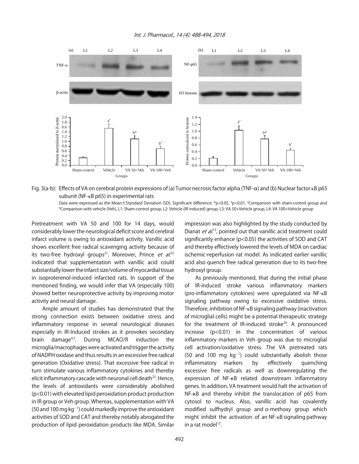

Fig. 3(a-b): Effects of VA on cerebral protein expressions of (a) Tumor necrosis factor alpha (TNF- $\alpha$ ) and (b) Nuclear factor κB p65 subunit (NF-κB p65) in experimental rats

Data were expressed as the Mean±Standard Deviation (SD). Significant difference: \*p<0.05, \*p<0.01, \*Comparison with sham-control group and b Comparison with vehicle (Veh), L1: Sham-control group, L2: Vehicle (IR-induced) group, L3: VA 50+Vehicle group, L4: VA 100+Vehicle group

Pretreatment with VA 50 and 100 for 14 days, would considerably lower the neurological deficit score and cerebral infarct volume is owing to antioxidant activity. Vanillic acid shows excellent free radical scavenging activity because of its two-free hydroxyl groups<sup>21</sup>. Moreover, Prince *et al.*<sup>22</sup> indicated that supplementation with vanillic acid could substantially lower the infarct size/volume of myocardial tissue in isoproterenol-induced infarcted rats. In support of the mentioned finding, we would infer that VA (especially 100) showed better neuroprotective activity by improving motor activity and neural damage.

Ample amount of studies has demonstrated that the strong connection exists between oxidative stress and inflammatory response in several neurological diseases especially in IR-Induced strokes as it provokes secondary brain damage4,5. During MCAO/R induction the microglia/macrophages were activated and trigger the activity of NADPH oxidase and thus results in an excessive free radical generation (Oxidative stress). That excessive free radical in turn stimulate various inflammatory cytokines and thereby elicit inflammatory cascade with neuronal cell death $^{23}$ . Hence, the levels of antioxidants were considerably abolished (p<0.01) with elevated lipid peroxidation product production in IR group or Veh group. Whereas, supplementation with VA (50 and 100 mg  $kg^{-1}$ ) could markedly improve the antioxidant activities of SOD and CAT and thereby notably abrogated the production of lipid peroxidation products like MDA. Similar

impression was also highlighted by the study conducted by Dianat et al.<sup>13</sup>, pointed out that vanillic acid treatment could significantly enhance (p<0.05) the activities of SOD and CAT and thereby effectively lowered the levels of MDA on cardiac ischemic-reperfusion rat model. As indicated earlier vanillic acid also quench free radical generation due to its two-free hydroxyl group.

As previously mentioned, that during the initial phase of IR-induced stroke various inflammatory markers (pro-inflammatory cytokines) were upregulated via NF-κB signaling pathway owing to excessive oxidative stress. Therefore, inhibition of NF-κB signaling pathway (inactivation of microglial cells) might be a potential therapeutic strategy for the treatment of IR-induced stroke $24$ . A pronounced increase (p<0.01) in the concentration of various inflammatory markers in Veh group was due to microglial cell activation/oxidative stress. The VA pretreated rats  $(50$  and 100 mg kg<sup>-1</sup>) could substantially abolish those inflammatory markers by effectively quenching excessive free radicals as well as downregulating the expression of NF-KB related downstream inflammatory genes. In addition, VA treatment would halt the activation of NF-KB and thereby inhibit the translocation of p65 from cytosol to nucleus. Also, vanillic acid has covalently modified sulfhydryl group and o-methoxy group which might inhibit the activation of an NF-κB signaling pathway in a rat model $12$ .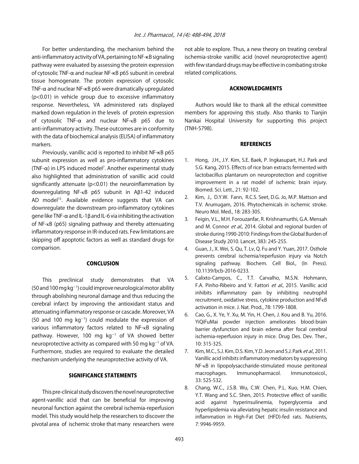For better understanding, the mechanism behind the anti-inflammatory activity of VA, pertaining to NF-KB signaling pathway were evaluated by assessing the protein expression of cytosolic TNF- $\alpha$  and nuclear NF- $\kappa$ B p65 subunit in cerebral tissue homogenate. The protein expression of cytosolic TNF- $\alpha$  and nuclear NF- $\kappa$ B p65 were dramatically upregulated (p<0.01) in vehicle group due to excessive inflammatory response. Nevertheless, VA administered rats displayed marked down regulation in the levels of protein expression of cytosolic TNF-α and nuclear NF-κB p65 due to anti-inflammatory activity. These outcomes are in conformity with the data of biochemical analysis (ELISA) of inflammatory markers.

Previously, vanillic acid is reported to inhibit NF-KB p65 subunit expression as well as pro-inflammatory cytokines  $(TNF-\alpha)$  in LPS induced model<sup>7</sup>. Another experimental study also highlighted that administration of vanillic acid could significantly attenuate (p<0.01) the neuroinflammation by downregulating NF-κB p65 subunit in A\$1-42 induced AD model<sup>15</sup>. Available evidence suggests that VA can downregulate the downstream pro-inflammatory cytokines gene like TNF- $\alpha$  and IL-1 $\beta$  and IL-6 via inhibiting the activation of NF-κB (p65) signaling pathway and thereby attenuating inflammatory response in IR-induced rats. Few limitations are skipping off apoptotic factors as well as standard drugs for comparison.

#### CONCLUSION

This preclinical study demonstrates that VA  $(50$  and 100 mg kg<sup>-1</sup>) could improve neurological motor ability through abolishing neuronal damage and thus reducing the cerebral infarct by improving the antioxidant status and attenuating inflammatory response or cascade. Moreover, VA (50 and 100 mg  $kg^{-1}$ ) could modulate the expression of various inflammatory factors related to NF-κB signaling pathway. However, 100 mg  $kg^{-1}$  of VA showed better neuroprotective activity as compared with 50 mg  $kg^{-1}$  of VA. Furthermore, studies are required to evaluate the detailed mechanism underlying the neuroprotective activity of VA.

#### SIGNIFICANCE STATEMENTS

This pre-clinical study discovers the novel neuroprotective agent-vanillic acid that can be beneficial for improving neuronal function against the cerebral ischemia-reperfusion model. This study would help the researchers to discover the pivotal area of ischemic stroke that many researchers were not able to explore. Thus, a new theory on treating cerebral ischemia-stroke vanillic acid (novel neuroprotective agent) with few standard drugs may be effective in combating stroke related complications.

#### ACKNOWLEDGMENTS

Authors would like to thank all the ethical committee members for approving this study. Also thanks to Tianjin Nankai Hospital University for supporting this project (TNH-5798).

#### **REFERENCES**

- 1. Hong, J.H., J.Y. Kim, S.E. Baek, P. Ingkasupart, H.J. Park and S.G. Kang, 2015. Effects of rice bran extracts fermented with lactobacillus plantarum on neuroprotection and cognitive improvement in a rat model of ischemic brain injury. Biomed. Sci. Lett., 21: 92-102.
- 2. Kim, J., D.Y.W. Fann, R.C.S. Seet, D.G. Jo, M.P. Mattson and T.V. Arumugam, 2016. Phytochemicals in ischemic stroke. Neuro Mol. Med., 18: 283-305.
- 3. Feigin, V.L., M.H. Forouzanfar, R. Krishnamurthi, G.A. Mensah and M. Connor et al., 2014. Global and regional burden of stroke during 1990-2010: Findings from the Global Burden of Disease Study 2010. Lancet, 383: 245-255.
- 4. Guan, J., X. Wei, S. Qu, T. Lv, Q. Fu and Y. Yuan, 2017. Osthole prevents cerebral ischemia/reperfusion injury via Notch signaling pathway. Biochem. Cell Biol., (In Press). 10.1139/bcb-2016-0233.
- 5. Calixto-Campos, C., T.T. Carvalho, M.S.N. Hohmann, F.A. Pinho-Ribeiro and V. Fattori et al., 2015. Vanillic acid inhibits inflammatory pain by inhibiting neutrophil recruitment, oxidative stress, cytokine production and NFκB activation in mice. J. Nat. Prod., 78: 1799-1808.
- 6. Cao, G., X. Ye, Y. Xu, M. Yin, H. Chen, J. Kou and B. Yu, 2016. YiQiFuMai powder injection ameliorates blood-brain barrier dysfunction and brain edema after focal cerebral ischemia-reperfusion injury in mice. Drug Des. Dev. Ther., 10: 315-325.
- 7. Kim, M.C., S.J. Kim, D.S. Kim, Y.D. Jeon and S.J. Park et al., 2011. Vanillic acid inhibits inflammatory mediators by suppressing NF-κB in lipopolysaccharide-stimulated mouse peritoneal macrophages. Immunopharmacol. Immunotoxicol., 33: 525-532.
- 8. Chang, W.C., J.S.B. Wu, C.W. Chen, P.L. Kuo, H.M. Chien, Y.T. Wang and S.C. Shen, 2015. Protective effect of vanillic acid against hyperinsulinemia, hyperglycemia and hyperlipidemia via alleviating hepatic insulin resistance and inflammation in High-Fat Diet (HFD)-fed rats. Nutrients, 7: 9946-9959.